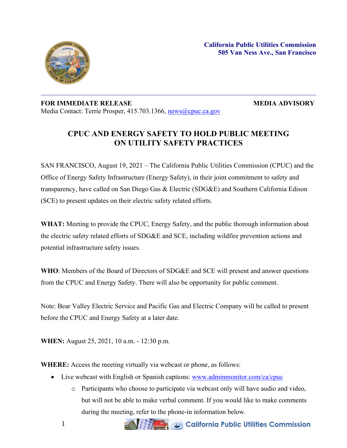

## **FOR IMMEDIATE RELEASE MEDIA ADVISORY** Media Contact: Terrie Prosper, 415.703.1366, [news@cpuc.ca.gov](mailto:news@cpuc.ca.gov)

## **CPUC AND ENERGY SAFETY TO HOLD PUBLIC MEETING ON UTILITY SAFETY PRACTICES**

SAN FRANCISCO, August 19, 2021 – The California Public Utilities Commission (CPUC) and the Office of Energy Safety Infrastructure (Energy Safety), in their joint commitment to safety and transparency, have called on San Diego Gas & Electric (SDG&E) and Southern California Edison (SCE) to present updates on their electric safety related efforts.

**WHAT:** Meeting to provide the CPUC, Energy Safety, and the public thorough information about the electric safety related efforts of SDG&E and SCE, including wildfire prevention actions and potential infrastructure safety issues.

**WHO**: Members of the Board of Directors of SDG&E and SCE will present and answer questions from the CPUC and Energy Safety. There will also be opportunity for public comment.

Note: Bear Valley Electric Service and Pacific Gas and Electric Company will be called to present before the CPUC and Energy Safety at a later date.

**WHEN:** August 25, 2021, 10 a.m. - 12:30 p.m.

**WHERE:** Access the meeting virtually via webcast or phone, as follows:

- Live webcast with English or Spanish captions: [www.adminmonitor.com/ca/cpuc](http://www.adminmonitor.com/ca/cpuc)
	- o Participants who choose to participate via webcast only will have audio and video, but will not be able to make verbal comment. If you would like to make comments during the meeting, refer to the phone-in information below.

**ANGEL & California Public Utilities Commission**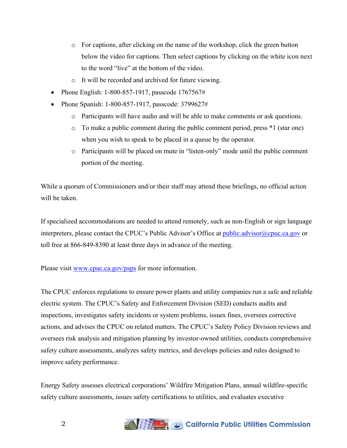- o For captions, after clicking on the name of the workshop, click the green button below the video for captions. Then select captions by clicking on the white icon next to the word "live" at the bottom of the video.
- o It will be recorded and archived for future viewing.
- Phone English: 1-800-857-1917, passcode 1767567#
- Phone Spanish: 1-800-857-1917, passcode: 3799627#
	- o Participants will have audio and will be able to make comments or ask questions.
	- o To make a public comment during the public comment period, press \*1 (star one) when you wish to speak to be placed in a queue by the operator.
	- o Participants will be placed on mute in "listen-only" mode until the public comment portion of the meeting.

While a quorum of Commissioners and/or their staff may attend these briefings, no official action will be taken.

If specialized accommodations are needed to attend remotely, such as non-English or sign language interpreters, please contact the CPUC's Public Advisor's Office at [public.advisor@cpuc.ca.gov](mailto:public.advisor@cpuc.ca.gov) or toll free at 866-849-8390 at least three days in advance of the meeting.

Please visit [www.cpuc.ca.gov/psps](http://www.cpuc.ca.gov/psps) for more information.

The CPUC enforces regulations to ensure power plants and utility companies run a safe and reliable electric system. The CPUC's Safety and Enforcement Division (SED) conducts audits and inspections, investigates safety incidents or system problems, issues fines, oversees corrective actions, and advises the CPUC on related matters. The CPUC's Safety Policy Division reviews and oversees risk analysis and mitigation planning by investor-owned utilities, conducts comprehensive safety culture assessments, analyzes safety metrics, and develops policies and rules designed to improve safety performance.

Energy Safety assesses electrical corporations' Wildfire Mitigation Plans, annual wildfire-specific safety culture assessments, issues safety certifications to utilities, and evaluates executive